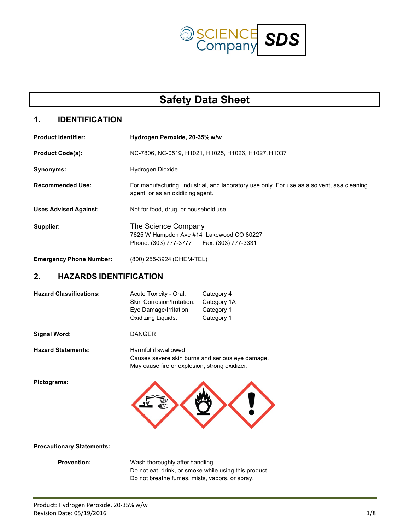

# **Safety Data Sheet**

## **1. IDENTIFICATION**

| <b>Product Identifier:</b>     | Hydrogen Peroxide, 20-35% w/w                                                                                                   |  |
|--------------------------------|---------------------------------------------------------------------------------------------------------------------------------|--|
| <b>Product Code(s):</b>        | NC-7806, NC-0519, H1021, H1025, H1026, H1027, H1037                                                                             |  |
| Synonyms:                      | Hydrogen Dioxide                                                                                                                |  |
| <b>Recommended Use:</b>        | For manufacturing, industrial, and laboratory use only. For use as a solvent, as a cleaning<br>agent, or as an oxidizing agent. |  |
| <b>Uses Advised Against:</b>   | Not for food, drug, or household use.                                                                                           |  |
| Supplier:                      | The Science Company<br>7625 W Hampden Ave #14 Lakewood CO 80227<br>Phone: (303) 777-3777    Fax: (303) 777-3331                 |  |
| <b>Emergency Phone Number:</b> | (800) 255-3924 (CHEM-TEL)                                                                                                       |  |

#### **2. HAZARDS IDENTIFICATION**

| <b>Hazard Classifications:</b>   | Acute Toxicity - Oral:<br>Skin Corrosion/Irritation:<br>Eye Damage/Irritation:<br>Oxidizing Liquids: | Category 4<br>Category 1A<br>Category 1<br>Category 1 |
|----------------------------------|------------------------------------------------------------------------------------------------------|-------------------------------------------------------|
| <b>Signal Word:</b>              | <b>DANGER</b>                                                                                        |                                                       |
| <b>Hazard Statements:</b>        | Harmful if swallowed.<br>May cause fire or explosion; strong oxidizer.                               | Causes severe skin burns and serious eye damage.      |
| Pictograms:                      |                                                                                                      |                                                       |
| <b>Precautionary Statements:</b> |                                                                                                      |                                                       |
| <b>Prevention:</b>               | Wash thoroughly after handling.                                                                      |                                                       |

Do not eat, drink, or smoke while using this product. Do not breathe fumes, mists, vapors, or spray.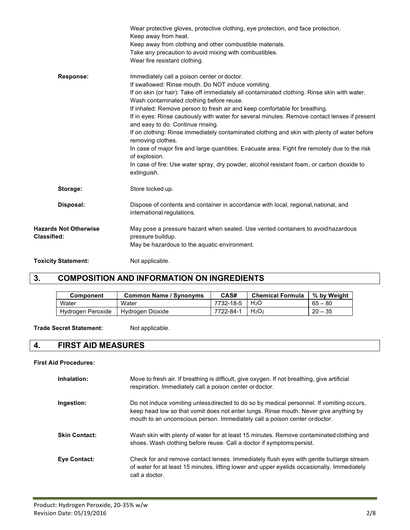|                                                    | Wear protective gloves, protective clothing, eye protection, and face protection.<br>Keep away from heat.<br>Keep away from clothing and other combustible materials.<br>Take any precaution to avoid mixing with combustibles.<br>Wear fire resistant clothing.                                                                                                                                                                                                                                                                                                                                                                                                                                                                                                                                                       |
|----------------------------------------------------|------------------------------------------------------------------------------------------------------------------------------------------------------------------------------------------------------------------------------------------------------------------------------------------------------------------------------------------------------------------------------------------------------------------------------------------------------------------------------------------------------------------------------------------------------------------------------------------------------------------------------------------------------------------------------------------------------------------------------------------------------------------------------------------------------------------------|
| <b>Response:</b>                                   | Immediately call a poison center or doctor.<br>If swallowed: Rinse mouth. Do NOT induce vomiting.<br>If on skin (or hair): Take off immediately all contaminated clothing. Rinse skin with water.<br>Wash contaminated clothing before reuse.<br>If inhaled: Remove person to fresh air and keep comfortable for breathing.<br>If in eyes: Rinse cautiously with water for several minutes. Remove contact lenses if present<br>and easy to do. Continue rinsing.<br>If on clothing: Rinse immediately contaminated clothing and skin with plenty of water before<br>removing clothes.<br>In case of major fire and large quantities: Evacuate area. Fight fire remotely due to the risk<br>of explosion.<br>In case of fire: Use water spray, dry powder, alcohol resistant foam, or carbon dioxide to<br>extinguish. |
| Storage:                                           | Store locked up.                                                                                                                                                                                                                                                                                                                                                                                                                                                                                                                                                                                                                                                                                                                                                                                                       |
| Disposal:                                          | Dispose of contents and container in accordance with local, regional, national, and<br>international regulations.                                                                                                                                                                                                                                                                                                                                                                                                                                                                                                                                                                                                                                                                                                      |
| <b>Hazards Not Otherwise</b><br><b>Classified:</b> | May pose a pressure hazard when sealed. Use vented containers to avoid hazardous<br>pressure buildup.<br>May be hazardous to the aquatic environment.                                                                                                                                                                                                                                                                                                                                                                                                                                                                                                                                                                                                                                                                  |
| <b>Toxicity Statement:</b>                         | Not applicable.                                                                                                                                                                                                                                                                                                                                                                                                                                                                                                                                                                                                                                                                                                                                                                                                        |

## **3. COMPOSITION AND INFORMATION ON INGREDIENTS**

| <b>Component</b>  | <b>Common Name / Synonyms</b> | CAS#      | <b>Chemical Formula</b>       | % by Weight |
|-------------------|-------------------------------|-----------|-------------------------------|-------------|
| Water             | Water                         | 7732-18-5 | H <sub>2</sub> O              | $65 - 80$   |
| Hydrogen Peroxide | Hydrogen Dioxide              | 7722-84-1 | H <sub>2</sub> O <sub>2</sub> | $20 - 35$   |

**Trade Secret Statement:** Not applicable.

#### **4. FIRST AID MEASURES**

#### **First Aid Procedures:**

| Inhalation:          | Move to fresh air. If breathing is difficult, give oxygen. If not breathing, give artificial<br>respiration. Immediately call a poison center or doctor.                                                                                                        |
|----------------------|-----------------------------------------------------------------------------------------------------------------------------------------------------------------------------------------------------------------------------------------------------------------|
| Ingestion:           | Do not induce vomiting unlessdirected to do so by medical personnel. If vomiting occurs,<br>keep head low so that vomit does not enter lungs. Rinse mouth. Never give anything by<br>mouth to an unconscious person. Immediately call a poison center ordoctor. |
| <b>Skin Contact:</b> | Wash skin with plenty of water for at least 15 minutes. Remove contaminated clothing and<br>shoes. Wash clothing before reuse. Call a doctor if symptoms persist.                                                                                               |
| <b>Eve Contact:</b>  | Check for and remove contact lenses. Immediately flush eyes with gentle butlarge stream<br>of water for at least 15 minutes, lifting lower and upper eyelids occasionally. Immediately<br>call a doctor.                                                        |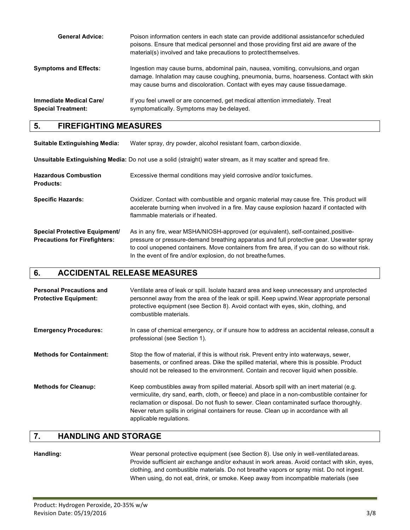| <b>General Advice:</b>                        | Poison information centers in each state can provide additional assistance for scheduled<br>poisons. Ensure that medical personnel and those providing first aid are aware of the<br>material(s) involved and take precautions to protect themselves.          |
|-----------------------------------------------|----------------------------------------------------------------------------------------------------------------------------------------------------------------------------------------------------------------------------------------------------------------|
| Symptoms and Effects:                         | Ingestion may cause burns, abdominal pain, nausea, vomiting, convulsions, and organ<br>damage. Inhalation may cause coughing, pneumonia, burns, hoarseness. Contact with skin<br>may cause burns and discoloration. Contact with eyes may cause tissue damage. |
| Immediate Medical Care/<br>Special Treatment: | If you feel unwell or are concerned, get medical attention immediately. Treat<br>symptomatically. Symptoms may be delayed.                                                                                                                                     |

#### **5. FIREFIGHTING MEASURES**

| <b>Suitable Extinguishing Media:</b>                                  | Water spray, dry powder, alcohol resistant foam, carbon dioxide.                                                                                                                                                                                                                                                                                |
|-----------------------------------------------------------------------|-------------------------------------------------------------------------------------------------------------------------------------------------------------------------------------------------------------------------------------------------------------------------------------------------------------------------------------------------|
|                                                                       | Unsuitable Extinguishing Media: Do not use a solid (straight) water stream, as it may scatter and spread fire.                                                                                                                                                                                                                                  |
| <b>Hazardous Combustion</b><br><b>Products:</b>                       | Excessive thermal conditions may yield corrosive and/or toxic fumes.                                                                                                                                                                                                                                                                            |
| <b>Specific Hazards:</b>                                              | Oxidizer. Contact with combustible and organic material may cause fire. This product will<br>accelerate burning when involved in a fire. May cause explosion hazard if contacted with<br>flammable materials or if heated.                                                                                                                      |
| Special Protective Equipment/<br><b>Precautions for Firefighters:</b> | As in any fire, wear MSHA/NIOSH-approved (or equivalent), self-contained, positive-<br>pressure or pressure-demand breathing apparatus and full protective gear. Use water spray<br>to cool unopened containers. Move containers from fire area, if you can do so without risk.<br>In the event of fire and/or explosion, do not breathe fumes. |

#### **6. ACCIDENTAL RELEASE MEASURES**

| <b>Personal Precautions and</b><br><b>Protective Equipment:</b> | Ventilate area of leak or spill. Isolate hazard area and keep unnecessary and unprotected<br>personnel away from the area of the leak or spill. Keep upwind. Wear appropriate personal<br>protective equipment (see Section 8). Avoid contact with eyes, skin, clothing, and<br>combustible materials.                                                                                                |
|-----------------------------------------------------------------|-------------------------------------------------------------------------------------------------------------------------------------------------------------------------------------------------------------------------------------------------------------------------------------------------------------------------------------------------------------------------------------------------------|
| <b>Emergency Procedures:</b>                                    | In case of chemical emergency, or if unsure how to address an accidental release, consult a<br>professional (see Section 1).                                                                                                                                                                                                                                                                          |
| <b>Methods for Containment:</b>                                 | Stop the flow of material, if this is without risk. Prevent entry into waterways, sewer,<br>basements, or confined areas. Dike the spilled material, where this is possible. Product<br>should not be released to the environment. Contain and recover liquid when possible.                                                                                                                          |
| <b>Methods for Cleanup:</b>                                     | Keep combustibles away from spilled material. Absorb spill with an inert material (e.g.<br>vermiculite, dry sand, earth, cloth, or fleece) and place in a non-combustible container for<br>reclamation or disposal. Do not flush to sewer. Clean contaminated surface thoroughly.<br>Never return spills in original containers for reuse. Clean up in accordance with all<br>applicable regulations. |

### **7. HANDLING AND STORAGE**

**Handling:** Wear personal protective equipment (see Section 8). Use only in well-ventilatedareas. Provide sufficient air exchange and/or exhaust in work areas. Avoid contact with skin, eyes, clothing, and combustible materials. Do not breathe vapors or spray mist. Do not ingest. When using, do not eat, drink, or smoke. Keep away from incompatible materials (see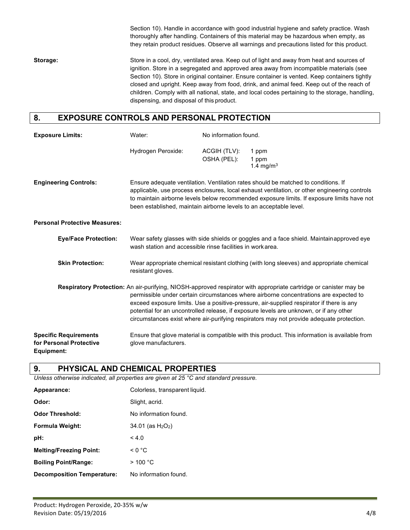Section 10). Handle in accordance with good industrial hygiene and safety practice. Wash thoroughly after handling. Containers of this material may be hazardous when empty, as they retain product residues. Observe all warnings and precautions listed for this product.

**Storage:** Store in a cool, dry, ventilated area. Keep out of light and away from heat and sources of ignition. Store in a segregated and approved area away from incompatible materials (see Section 10). Store in original container. Ensure container is vented. Keep containers tightly closed and upright. Keep away from food, drink, and animal feed. Keep out of the reach of children. Comply with all national, state, and local codes pertaining to the storage, handling, dispensing, and disposal of this product.

#### **8. EXPOSURE CONTROLS AND PERSONAL PROTECTION**

| <b>Exposure Limits:</b>                                                      | Water:                                                                                                                                                                                                                                                                                                                                                 | No information found.       |                                                                                                                                                                                                                                                                                                                                                                                                                                                                                              |
|------------------------------------------------------------------------------|--------------------------------------------------------------------------------------------------------------------------------------------------------------------------------------------------------------------------------------------------------------------------------------------------------------------------------------------------------|-----------------------------|----------------------------------------------------------------------------------------------------------------------------------------------------------------------------------------------------------------------------------------------------------------------------------------------------------------------------------------------------------------------------------------------------------------------------------------------------------------------------------------------|
|                                                                              | Hydrogen Peroxide:                                                                                                                                                                                                                                                                                                                                     | ACGIH (TLV):<br>OSHA (PEL): | 1 ppm<br>1 ppm<br>1.4 mg/m <sup>3</sup>                                                                                                                                                                                                                                                                                                                                                                                                                                                      |
| <b>Engineering Controls:</b>                                                 | Ensure adequate ventilation. Ventilation rates should be matched to conditions. If<br>applicable, use process enclosures, local exhaust ventilation, or other engineering controls<br>to maintain airborne levels below recommended exposure limits. If exposure limits have not<br>been established, maintain airborne levels to an acceptable level. |                             |                                                                                                                                                                                                                                                                                                                                                                                                                                                                                              |
| <b>Personal Protective Measures:</b>                                         |                                                                                                                                                                                                                                                                                                                                                        |                             |                                                                                                                                                                                                                                                                                                                                                                                                                                                                                              |
| <b>Eye/Face Protection:</b>                                                  | wash station and accessible rinse facilities in work area.                                                                                                                                                                                                                                                                                             |                             | Wear safety glasses with side shields or goggles and a face shield. Maintainapproved eye                                                                                                                                                                                                                                                                                                                                                                                                     |
| <b>Skin Protection:</b>                                                      | resistant gloves.                                                                                                                                                                                                                                                                                                                                      |                             | Wear appropriate chemical resistant clothing (with long sleeves) and appropriate chemical                                                                                                                                                                                                                                                                                                                                                                                                    |
|                                                                              |                                                                                                                                                                                                                                                                                                                                                        |                             | Respiratory Protection: An air-purifying, NIOSH-approved respirator with appropriate cartridge or canister may be<br>permissible under certain circumstances where airborne concentrations are expected to<br>exceed exposure limits. Use a positive-pressure, air-supplied respirator if there is any<br>potential for an uncontrolled release, if exposure levels are unknown, or if any other<br>circumstances exist where air-purifying respirators may not provide adequate protection. |
| <b>Specific Requirements</b><br>for Personal Protective<br><b>Equipment:</b> | glove manufacturers.                                                                                                                                                                                                                                                                                                                                   |                             | Ensure that glove material is compatible with this product. This information is available from                                                                                                                                                                                                                                                                                                                                                                                               |

#### **9. PHYSICAL AND CHEMICAL PROPERTIES**

*Unless otherwise indicated, all properties are given at 25 °C and standard pressure.*

| Appearance:                       | Colorless, transparent liquid.              |
|-----------------------------------|---------------------------------------------|
| Odor:                             | Slight, acrid.                              |
| <b>Odor Threshold:</b>            | No information found.                       |
| Formula Weight:                   | $34.01$ (as H <sub>2</sub> O <sub>2</sub> ) |
| pH:                               | < 4.0                                       |
| <b>Melting/Freezing Point:</b>    | $\leq 0$ °C                                 |
| <b>Boiling Point/Range:</b>       | $>$ 100 °C                                  |
| <b>Decomposition Temperature:</b> | No information found.                       |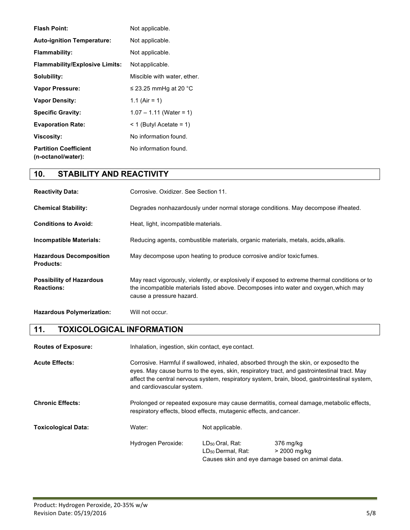| <b>Flash Point:</b>                                | Not applicable.             |
|----------------------------------------------------|-----------------------------|
| <b>Auto-ignition Temperature:</b>                  | Not applicable.             |
| <b>Flammability:</b>                               | Not applicable.             |
| <b>Flammability/Explosive Limits:</b>              | Not applicable.             |
| Solubility:                                        | Miscible with water, ether. |
| <b>Vapor Pressure:</b>                             | $\leq$ 23.25 mmHg at 20 °C  |
| <b>Vapor Density:</b>                              | 1.1 (Air = 1)               |
| <b>Specific Gravity:</b>                           | $1.07 - 1.11$ (Water = 1)   |
| <b>Evaporation Rate:</b>                           | $<$ 1 (Butyl Acetate = 1)   |
| <b>Viscosity:</b>                                  | No information found.       |
| <b>Partition Coefficient</b><br>(n-octanol/water): | No information found.       |

## **10. STABILITY AND REACTIVITY**

| <b>Reactivity Data:</b>                              | Corrosive, Oxidizer, See Section 11.                                                                                                                                                                               |
|------------------------------------------------------|--------------------------------------------------------------------------------------------------------------------------------------------------------------------------------------------------------------------|
| <b>Chemical Stability:</b>                           | Degrades nonhazardously under normal storage conditions. May decompose ifheated.                                                                                                                                   |
| <b>Conditions to Avoid:</b>                          | Heat, light, incompatible materials.                                                                                                                                                                               |
| <b>Incompatible Materials:</b>                       | Reducing agents, combustible materials, organic materials, metals, acids, alkalis.                                                                                                                                 |
| <b>Hazardous Decomposition</b><br><b>Products:</b>   | May decompose upon heating to produce corrosive and/or toxic fumes.                                                                                                                                                |
| <b>Possibility of Hazardous</b><br><b>Reactions:</b> | May react vigorously, violently, or explosively if exposed to extreme thermal conditions or to<br>the incompatible materials listed above. Decomposes into water and oxygen, which may<br>cause a pressure hazard. |
| <b>Hazardous Polymerization:</b>                     | Will not occur.                                                                                                                                                                                                    |

### **11. TOXICOLOGICAL INFORMATION**

| <b>Routes of Exposure:</b> | Inhalation, ingestion, skin contact, eye contact. |                                                                                                                                                                                                                                                                                                                      |                                                                               |
|----------------------------|---------------------------------------------------|----------------------------------------------------------------------------------------------------------------------------------------------------------------------------------------------------------------------------------------------------------------------------------------------------------------------|-------------------------------------------------------------------------------|
| <b>Acute Effects:</b>      |                                                   | Corrosive. Harmful if swallowed, inhaled, absorbed through the skin, or exposed to the<br>eyes. May cause burns to the eyes, skin, respiratory tract, and gastrointestinal tract. May<br>affect the central nervous system, respiratory system, brain, blood, gastrointestinal system,<br>and cardiovascular system. |                                                                               |
| <b>Chronic Effects:</b>    |                                                   | Prolonged or repeated exposure may cause dermatitis, corneal damage, metabolic effects,<br>respiratory effects, blood effects, mutagenic effects, and cancer.                                                                                                                                                        |                                                                               |
| <b>Toxicological Data:</b> | Water:                                            | Not applicable.                                                                                                                                                                                                                                                                                                      |                                                                               |
|                            | Hydrogen Peroxide:                                | $LD_{50}$ Oral. Rat:<br>LD <sub>50</sub> Dermal, Rat:                                                                                                                                                                                                                                                                | 376 mg/kg<br>> 2000 mg/kg<br>Causes skin and eye damage based on animal data. |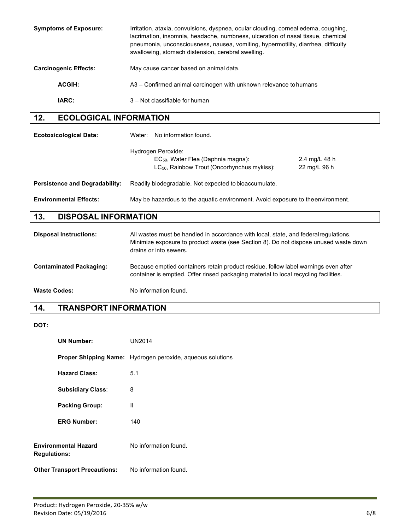| <b>Symptoms of Exposure:</b> | Irritation, ataxia, convulsions, dyspnea, ocular clouding, corneal edema, coughing,<br>lacrimation, insomnia, headache, numbness, ulceration of nasal tissue, chemical<br>pneumonia, unconsciousness, nausea, vomiting, hypermotility, diarrhea, difficulty<br>swallowing, stomach distension, cerebral swelling. |
|------------------------------|-------------------------------------------------------------------------------------------------------------------------------------------------------------------------------------------------------------------------------------------------------------------------------------------------------------------|
| <b>Carcinogenic Effects:</b> | May cause cancer based on animal data.                                                                                                                                                                                                                                                                            |
| <b>ACGIH:</b>                | A3 – Confirmed animal carcinogen with unknown relevance to humans                                                                                                                                                                                                                                                 |
| <b>IARC:</b>                 | 3 – Not classifiable for human                                                                                                                                                                                                                                                                                    |

## **12. ECOLOGICAL INFORMATION**

| <b>Ecotoxicological Data:</b>         | No information found.<br>Water:                                                                                                                                                                        |  |
|---------------------------------------|--------------------------------------------------------------------------------------------------------------------------------------------------------------------------------------------------------|--|
|                                       | Hydrogen Peroxide:<br>EC <sub>50</sub> , Water Flea (Daphnia magna):<br>2.4 mg/L 48 h<br>LC <sub>50</sub> , Rainbow Trout (Oncorhynchus mykiss):<br>22 mg/L 96 h                                       |  |
| <b>Persistence and Degradability:</b> | Readily biodegradable. Not expected to bioaccumulate.                                                                                                                                                  |  |
| <b>Environmental Effects:</b>         | May be hazardous to the aquatic environment. Avoid exposure to the environment.                                                                                                                        |  |
| 13.<br><b>DISPOSAL INFORMATION</b>    |                                                                                                                                                                                                        |  |
| <b>Disposal Instructions:</b>         | All wastes must be handled in accordance with local, state, and federal regulations.<br>Minimize exposure to product waste (see Section 8). Do not dispose unused waste down<br>drains or into sewers. |  |

| <b>Contaminated Packaging:</b> | Because emptied containers retain product residue, follow label warnings even after  |  |
|--------------------------------|--------------------------------------------------------------------------------------|--|
|                                | container is emptied. Offer rinsed packaging material to local recycling facilities. |  |

**Waste Codes:** No information found.

## **14. TRANSPORT INFORMATION**

**DOT:**

| <b>UN Number:</b>                                  | <b>UN2014</b>                                                     |
|----------------------------------------------------|-------------------------------------------------------------------|
|                                                    | <b>Proper Shipping Name:</b> Hydrogen peroxide, aqueous solutions |
| <b>Hazard Class:</b>                               | 5.1                                                               |
| <b>Subsidiary Class:</b>                           | 8                                                                 |
| <b>Packing Group:</b>                              | Ш                                                                 |
| <b>ERG Number:</b>                                 | 140                                                               |
| <b>Environmental Hazard</b><br><b>Regulations:</b> | No information found.                                             |
| <b>Other Transport Precautions:</b>                | No information found.                                             |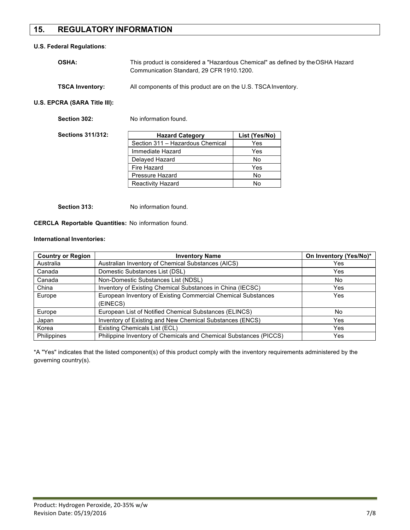#### **15. REGULATORY INFORMATION**

#### **U.S. Federal Regulations**:

| <b>OSHA:</b>           | This product is considered a "Hazardous Chemical" as defined by the OSHA Hazard<br>Communication Standard, 29 CFR 1910.1200. |
|------------------------|------------------------------------------------------------------------------------------------------------------------------|
| <b>TSCA Inventory:</b> | All components of this product are on the U.S. TSCA Inventory.                                                               |

#### **U.S. EPCRA (SARA Title III):**

| Section 302:             | No information found.            |               |
|--------------------------|----------------------------------|---------------|
| <b>Sections 311/312:</b> | <b>Hazard Category</b>           | List (Yes/No) |
|                          | Section 311 - Hazardous Chemical | Yes           |
|                          | Immediate Hazard                 | Yes           |
|                          | Delayed Hazard                   | No            |
|                          | Fire Hazard                      | Yes           |
|                          | Pressure Hazard                  | No            |
|                          | <b>Reactivity Hazard</b>         | No            |

**Section 313:** No information found.

#### **CERCLA Reportable Quantities:** No information found.

#### **International Inventories:**

| <b>Country or Region</b> | <b>Inventory Name</b>                                                     | On Inventory (Yes/No)* |
|--------------------------|---------------------------------------------------------------------------|------------------------|
| Australia                | Australian Inventory of Chemical Substances (AICS)                        | <b>Yes</b>             |
| Canada                   | Domestic Substances List (DSL)                                            | Yes                    |
| Canada                   | Non-Domestic Substances List (NDSL)                                       | No                     |
| China                    | Inventory of Existing Chemical Substances in China (IECSC)                | <b>Yes</b>             |
| Europe                   | European Inventory of Existing Commercial Chemical Substances<br>(EINECS) | Yes                    |
| Europe                   | European List of Notified Chemical Substances (ELINCS)                    | No                     |
| Japan                    | Inventory of Existing and New Chemical Substances (ENCS)                  | <b>Yes</b>             |
| Korea                    | Existing Chemicals List (ECL)                                             | Yes                    |
| Philippines              | Philippine Inventory of Chemicals and Chemical Substances (PICCS)         | Yes                    |

\*A "Yes" indicates that the listed component(s) of this product comply with the inventory requirements administered by the governing country(s).